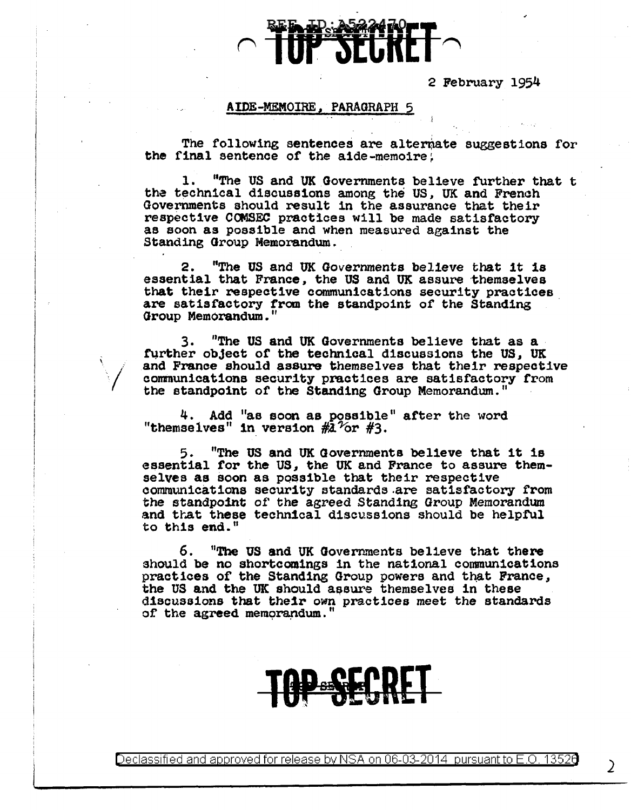2 February 1954

## AIDE-MEMOIRE, PARAGRAPH 5

The following sentences are alternate suggestions for the final sentence of the aide-memoire.

1. "The US and UK Governments believe further that <sup>t</sup> the technical discussions among the US, UK and French Governments should result in the assurance that their respective COMSEC practices will be made satisfactory as soon as possible and when measured against the Standing Group Memorandum.

2. "The US and UK Governments believe that 1t 1s essential that France, the US and UK assure themselves that their respective communications security practices are satisfactory from the standpoint of the Standing Group Memorandum."

3. "The US and UK Governments believe that as a further object of the technical discussions the US, UK and France should assure themselves that their respective communications security practices are satisfactory from the standpoint of the Standing Group Memorandum."

4. Add "ae soon as possible" after the word "themselves" in version  $#2\degree$  or  $#3.$ 

5. "The US and UK Governments believe that it is essential for the US, the UK and France to assure them-<br>selves as soon as possible that their respective communications security standards are satisfactory from the standpoint of the agreed Standing Group Memorandum and that these technical discussions should be helpful to this end."

6. "The US and UK Governments believe that there should be no shortcomings in the national communications practices of the Standing Group powers and that France, the US and the UK should assure themselves in these discussions that their own practices meet the standards of the agreed memorandum.



Declassified and approved for release by NSA on 06-03-2014  $\,$  pursuant to E.O. 13526  $\,$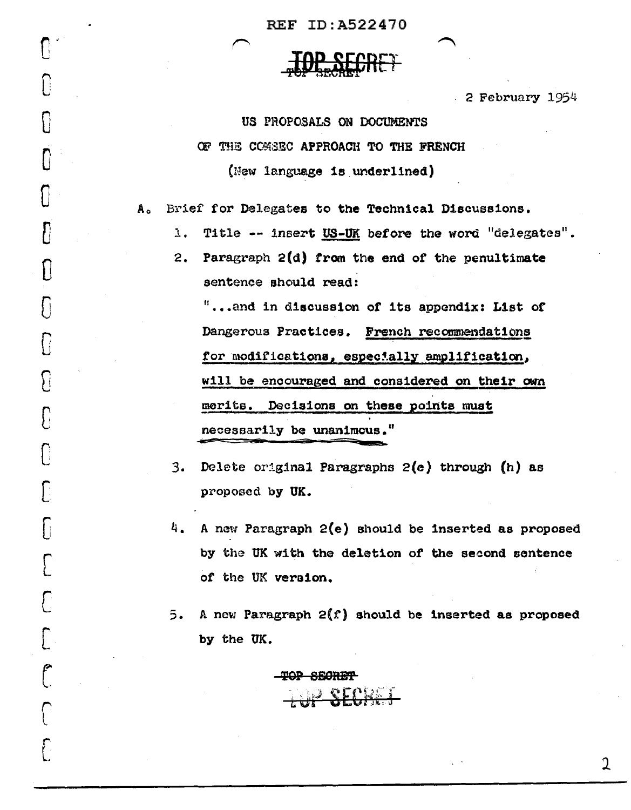REF ID:A522470

 $\begin{bmatrix} 0 & 0 \ 0 & 0 & 0 \end{bmatrix}$ 

 $\mathbb{C}$ 

0

 $\mathbb{C}^{\mathbb{C}}$ 

 $\mathbf{U}$ 

 $\{$ 

(]

 $\{$ 

c

**S** 

c

 $\overline{C}$ 

 $\bigl[$ 

c

 $\bigcap$ 

[

 $\bigcap$ 

 $\overline{\mathcal{C}}$ 

l

 $\overline{C}$ 

2 February 1954

## US PROPOSALS ON DOCUMENTS CF THE COMSEC APPROACH TO THE FRENCH (New language is underlined)

Ao Brief for Delegates to the Technical D1scues1ons.

 $l$ . Title -- insert US-UK before the word "delegates" •

2. Paragraph  $2(d)$  from the end of the penultimate sentence should read:

"...and in discussion of its appendix: List of Dangerous Practices. French recommendat1ons for modifications, especially amplification, will be encouraged and considered on their own merits. Decisions on these points must necessarily be unanimous."

- 3. Delete original Paragraphs 2(e) through (h) as proposed by UK.
- 4. A new Paragraph  $2(e)$  should be inserted as proposed by the UK with the deletion of the second sentence of the UK version.
- 5. A new Paragraph  $2(f)$  should be inserted as proposed by the UK.

TOP SECRET

1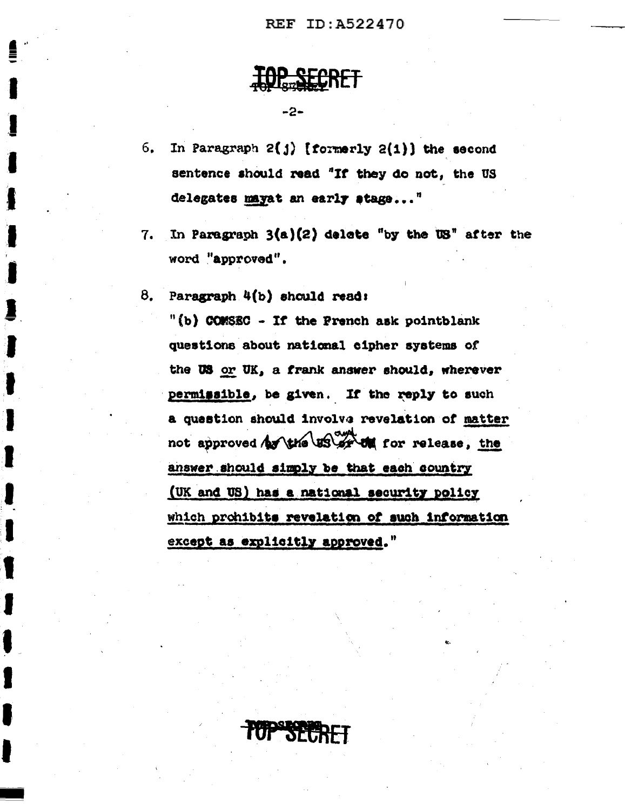**TOP SECRET** 

-2-

- In Paragraph  $2(j)$  [formerly  $2(i)$ ] the second  $6.$ sentence should read "If they do not, the US delegates mayat an early stage..."
- In Paragraph  $3(a)(2)$  delete "by the  $US$ " after the 7. word "approved".

Paragraph 4(b) should read: 8.

> "(b) COMSEC - If the Prench ask pointblank questions about national cipher systems of the US or UK, a frank answer should, wherever permissible, be given. If the reply to such a question should involve revelation of matter not approved by the US or the for release, the answer should simply be that each country (UK and US) has a national security policy which prohibits revelation of such information except as explicitly approved."